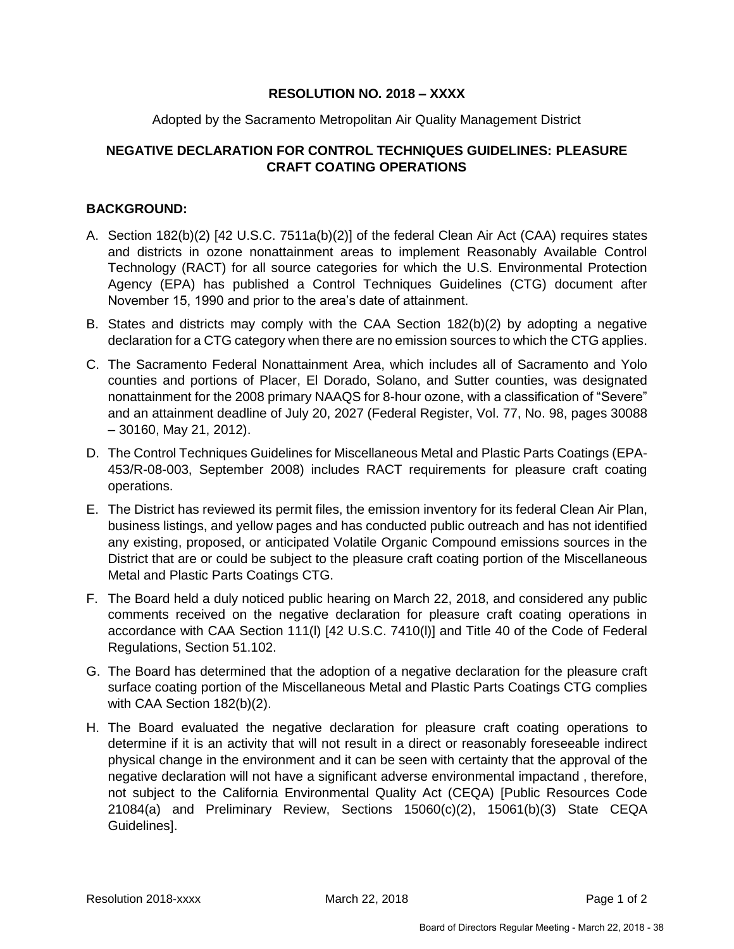### **RESOLUTION NO. 2018 – XXXX**

#### Adopted by the Sacramento Metropolitan Air Quality Management District

# **NEGATIVE DECLARATION FOR CONTROL TECHNIQUES GUIDELINES: PLEASURE CRAFT COATING OPERATIONS**

### **BACKGROUND:**

- A. Section 182(b)(2) [42 U.S.C. 7511a(b)(2)] of the federal Clean Air Act (CAA) requires states and districts in ozone nonattainment areas to implement Reasonably Available Control Technology (RACT) for all source categories for which the U.S. Environmental Protection Agency (EPA) has published a Control Techniques Guidelines (CTG) document after November 15, 1990 and prior to the area's date of attainment.
- B. States and districts may comply with the CAA Section 182(b)(2) by adopting a negative declaration for a CTG category when there are no emission sources to which the CTG applies.
- C. The Sacramento Federal Nonattainment Area, which includes all of Sacramento and Yolo counties and portions of Placer, El Dorado, Solano, and Sutter counties, was designated nonattainment for the 2008 primary NAAQS for 8-hour ozone, with a classification of "Severe" and an attainment deadline of July 20, 2027 (Federal Register, Vol. 77, No. 98, pages 30088 – 30160, May 21, 2012).
- D. The Control Techniques Guidelines for Miscellaneous Metal and Plastic Parts Coatings (EPA-453/R-08-003, September 2008) includes RACT requirements for pleasure craft coating operations.
- E. The District has reviewed its permit files, the emission inventory for its federal Clean Air Plan, business listings, and yellow pages and has conducted public outreach and has not identified any existing, proposed, or anticipated Volatile Organic Compound emissions sources in the District that are or could be subject to the pleasure craft coating portion of the Miscellaneous Metal and Plastic Parts Coatings CTG.
- F. The Board held a duly noticed public hearing on March 22, 2018, and considered any public comments received on the negative declaration for pleasure craft coating operations in accordance with CAA Section 111(l) [42 U.S.C. 7410(l)] and Title 40 of the Code of Federal Regulations, Section 51.102.
- G. The Board has determined that the adoption of a negative declaration for the pleasure craft surface coating portion of the Miscellaneous Metal and Plastic Parts Coatings CTG complies with CAA Section 182(b)(2).
- H. The Board evaluated the negative declaration for pleasure craft coating operations to determine if it is an activity that will not result in a direct or reasonably foreseeable indirect physical change in the environment and it can be seen with certainty that the approval of the negative declaration will not have a significant adverse environmental impactand , therefore, not subject to the California Environmental Quality Act (CEQA) [Public Resources Code 21084(a) and Preliminary Review, Sections 15060(c)(2), 15061(b)(3) State CEQA Guidelines].